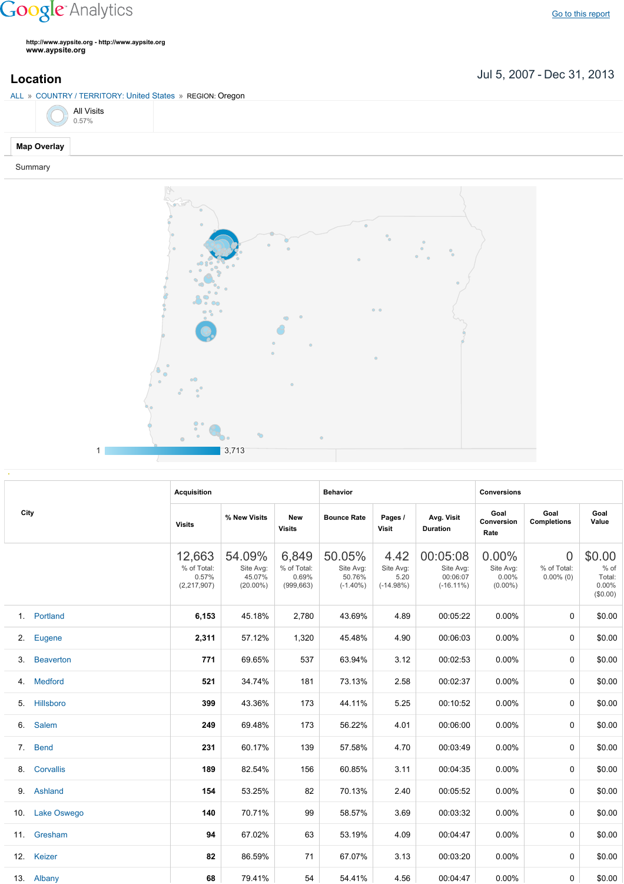## **Google** Analytics

**http://www.aypsite.org http://www.aypsite.org www.aypsite.org**

ALL » COUNTRY / TERRITORY: United States » REGION: Oregon

Jul 5, 2007 Dec 31, 2013 **Location**



Summary



|     | City             | <b>Acquisition</b>                            |                                              |                                             | <b>Behavior</b>                              |                                          |                                                   | <b>Conversions</b>                              |                                         |                                                 |  |
|-----|------------------|-----------------------------------------------|----------------------------------------------|---------------------------------------------|----------------------------------------------|------------------------------------------|---------------------------------------------------|-------------------------------------------------|-----------------------------------------|-------------------------------------------------|--|
|     |                  | <b>Visits</b>                                 | % New Visits                                 | <b>New</b><br><b>Visits</b>                 | <b>Bounce Rate</b>                           | Pages /<br><b>Visit</b>                  | Avg. Visit<br><b>Duration</b>                     | Goal<br>Conversion<br>Rate                      | Goal<br><b>Completions</b>              | Goal<br>Value                                   |  |
|     |                  | 12,663<br>% of Total:<br>0.57%<br>(2,217,907) | 54.09%<br>Site Avg:<br>45.07%<br>$(20.00\%)$ | 6,849<br>% of Total:<br>0.69%<br>(999, 663) | 50.05%<br>Site Avg:<br>50.76%<br>$(-1.40\%)$ | 4.42<br>Site Avg:<br>5.20<br>$(-14.98%)$ | 00:05:08<br>Site Avg:<br>00:06:07<br>$(-16.11\%)$ | $0.00\%$<br>Site Avg:<br>$0.00\%$<br>$(0.00\%)$ | $\Omega$<br>% of Total:<br>$0.00\%$ (0) | \$0.00<br>$%$ of<br>Total:<br>0.00%<br>(\$0.00) |  |
| 1.  | Portland         | 6,153                                         | 45.18%                                       | 2,780                                       | 43.69%                                       | 4.89                                     | 00:05:22                                          | 0.00%                                           | 0                                       | \$0.00                                          |  |
| 2.  | Eugene           | 2,311                                         | 57.12%                                       | 1,320                                       | 45.48%                                       | 4.90                                     | 00:06:03                                          | 0.00%                                           | 0                                       | \$0.00                                          |  |
| 3.  | <b>Beaverton</b> | 771                                           | 69.65%                                       | 537                                         | 63.94%                                       | 3.12                                     | 00:02:53                                          | 0.00%                                           | 0                                       | \$0.00                                          |  |
| 4.  | <b>Medford</b>   | 521                                           | 34.74%                                       | 181                                         | 73.13%                                       | 2.58                                     | 00:02:37                                          | 0.00%                                           | 0                                       | \$0.00                                          |  |
| 5.  | Hillsboro        | 399                                           | 43.36%                                       | 173                                         | 44.11%                                       | 5.25                                     | 00:10:52                                          | 0.00%                                           | 0                                       | \$0.00                                          |  |
| 6.  | Salem            | 249                                           | 69.48%                                       | 173                                         | 56.22%                                       | 4.01                                     | 00:06:00                                          | 0.00%                                           | 0                                       | \$0.00                                          |  |
| 7.  | <b>Bend</b>      | 231                                           | 60.17%                                       | 139                                         | 57.58%                                       | 4.70                                     | 00:03:49                                          | 0.00%                                           | 0                                       | \$0.00                                          |  |
| 8.  | <b>Corvallis</b> | 189                                           | 82.54%                                       | 156                                         | 60.85%                                       | 3.11                                     | 00:04:35                                          | 0.00%                                           | 0                                       | \$0.00                                          |  |
| 9.  | Ashland          | 154                                           | 53.25%                                       | 82                                          | 70.13%                                       | 2.40                                     | 00:05:52                                          | 0.00%                                           | 0                                       | \$0.00                                          |  |
| 10. | Lake Oswego      | 140                                           | 70.71%                                       | 99                                          | 58.57%                                       | 3.69                                     | 00:03:32                                          | 0.00%                                           | 0                                       | \$0.00                                          |  |
| 11. | Gresham          | 94                                            | 67.02%                                       | 63                                          | 53.19%                                       | 4.09                                     | 00:04:47                                          | 0.00%                                           | 0                                       | \$0.00                                          |  |
|     | 12. Keizer       | 82                                            | 86.59%                                       | 71                                          | 67.07%                                       | 3.13                                     | 00:03:20                                          | 0.00%                                           | 0                                       | \$0.00                                          |  |
|     | 13. Albany       | 68                                            | 79.41%                                       | 54                                          | 54.41%                                       | 4.56                                     | 00:04:47                                          | $0.00\%$                                        | 0                                       | \$0.00                                          |  |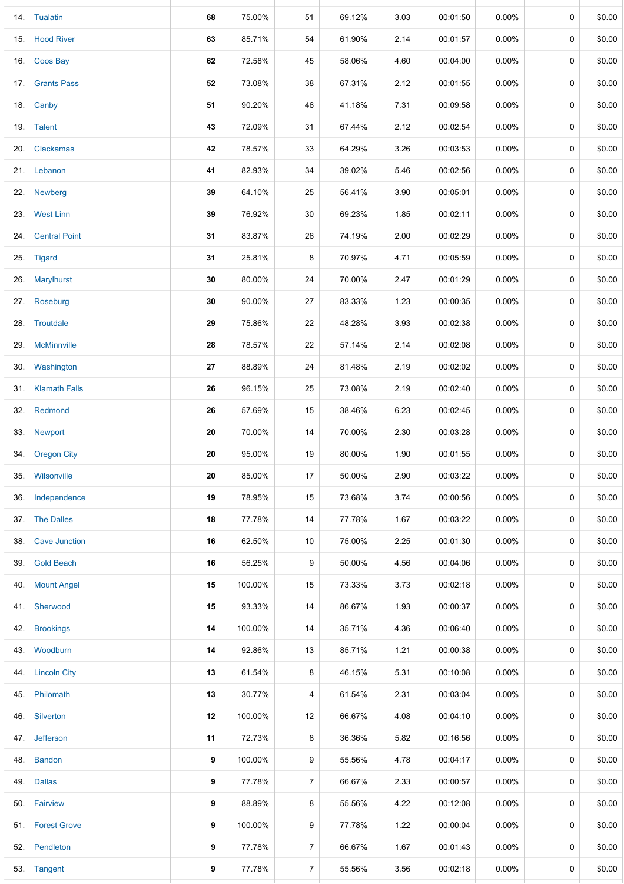|     | 14. Tualatin         | 68 | 75.00%  | 51             | 69.12% | 3.03 | 00:01:50 | $0.00\%$ | $\mathbf 0$ | \$0.00 |
|-----|----------------------|----|---------|----------------|--------|------|----------|----------|-------------|--------|
|     | 15. Hood River       | 63 | 85.71%  | 54             | 61.90% | 2.14 | 00:01:57 | $0.00\%$ | 0           | \$0.00 |
|     | 16. Coos Bay         | 62 | 72.58%  | 45             | 58.06% | 4.60 | 00:04:00 | $0.00\%$ | 0           | \$0.00 |
|     | 17. Grants Pass      | 52 | 73.08%  | 38             | 67.31% | 2.12 | 00:01:55 | $0.00\%$ | 0           | \$0.00 |
|     | 18. Canby            | 51 | 90.20%  | 46             | 41.18% | 7.31 | 00:09:58 | $0.00\%$ | 0           | \$0.00 |
|     | 19. Talent           | 43 | 72.09%  | 31             | 67.44% | 2.12 | 00:02:54 | $0.00\%$ | 0           | \$0.00 |
|     | 20. Clackamas        | 42 | 78.57%  | 33             | 64.29% | 3.26 | 00:03:53 | 0.00%    | 0           | \$0.00 |
|     | 21. Lebanon          | 41 | 82.93%  | 34             | 39.02% | 5.46 | 00:02:56 | $0.00\%$ | 0           | \$0.00 |
|     | 22. Newberg          | 39 | 64.10%  | 25             | 56.41% | 3.90 | 00:05:01 | $0.00\%$ | 0           | \$0.00 |
|     | 23. West Linn        | 39 | 76.92%  | 30             | 69.23% | 1.85 | 00:02:11 | 0.00%    | 0           | \$0.00 |
|     | 24. Central Point    | 31 | 83.87%  | 26             | 74.19% | 2.00 | 00:02:29 | $0.00\%$ | 0           | \$0.00 |
|     | 25. Tigard           | 31 | 25.81%  | 8              | 70.97% | 4.71 | 00:05:59 | $0.00\%$ | 0           | \$0.00 |
|     | 26. Marylhurst       | 30 | 80.00%  | 24             | 70.00% | 2.47 | 00:01:29 | $0.00\%$ | 0           | \$0.00 |
|     | 27. Roseburg         | 30 | 90.00%  | 27             | 83.33% | 1.23 | 00:00:35 | $0.00\%$ | 0           | \$0.00 |
|     | 28. Troutdale        | 29 | 75.86%  | 22             | 48.28% | 3.93 | 00:02:38 | $0.00\%$ | 0           | \$0.00 |
|     | 29. McMinnville      | 28 | 78.57%  | 22             | 57.14% | 2.14 | 00:02:08 | $0.00\%$ | 0           | \$0.00 |
|     | 30. Washington       | 27 | 88.89%  | 24             | 81.48% | 2.19 | 00:02:02 | $0.00\%$ | 0           | \$0.00 |
|     | 31. Klamath Falls    | 26 | 96.15%  | 25             | 73.08% | 2.19 | 00:02:40 | $0.00\%$ | 0           | \$0.00 |
|     | 32. Redmond          | 26 | 57.69%  | 15             | 38.46% | 6.23 | 00:02:45 | 0.00%    | 0           | \$0.00 |
|     | 33. Newport          | 20 | 70.00%  | 14             | 70.00% | 2.30 | 00:03:28 | $0.00\%$ | 0           | \$0.00 |
|     | 34. Oregon City      | 20 | 95.00%  | 19             | 80.00% | 1.90 | 00:01:55 | 0.00%    | 0           | \$0.00 |
| 35. | Wilsonville          | 20 | 85.00%  | 17             | 50.00% | 2.90 | 00:03:22 | $0.00\%$ | 0           | \$0.00 |
| 36. | Independence         | 19 | 78.95%  | 15             | 73.68% | 3.74 | 00:00:56 | $0.00\%$ | 0           | \$0.00 |
|     | 37. The Dalles       | 18 | 77.78%  | 14             | 77.78% | 1.67 | 00:03:22 | 0.00%    | 0           | \$0.00 |
| 38. | <b>Cave Junction</b> | 16 | 62.50%  | 10             | 75.00% | 2.25 | 00:01:30 | $0.00\%$ | 0           | \$0.00 |
|     | 39. Gold Beach       | 16 | 56.25%  | 9              | 50.00% | 4.56 | 00:04:06 | $0.00\%$ | 0           | \$0.00 |
| 40. | <b>Mount Angel</b>   | 15 | 100.00% | 15             | 73.33% | 3.73 | 00:02:18 | $0.00\%$ | 0           | \$0.00 |
|     | 41. Sherwood         | 15 | 93.33%  | 14             | 86.67% | 1.93 | 00:00:37 | $0.00\%$ | 0           | \$0.00 |
| 42. | <b>Brookings</b>     | 14 | 100.00% | 14             | 35.71% | 4.36 | 00:06:40 | $0.00\%$ | 0           | \$0.00 |
|     | 43. Woodburn         | 14 | 92.86%  | 13             | 85.71% | 1.21 | 00:00:38 | $0.00\%$ | 0           | \$0.00 |
| 44. | <b>Lincoln City</b>  | 13 | 61.54%  | 8              | 46.15% | 5.31 | 00:10:08 | $0.00\%$ | 0           | \$0.00 |
|     | 45. Philomath        | 13 | 30.77%  | 4              | 61.54% | 2.31 | 00:03:04 | $0.00\%$ | 0           | \$0.00 |
| 46. | Silverton            | 12 | 100.00% | 12             | 66.67% | 4.08 | 00:04:10 | $0.00\%$ | 0           | \$0.00 |
| 47. | Jefferson            | 11 | 72.73%  | 8              | 36.36% | 5.82 | 00:16:56 | $0.00\%$ | 0           | \$0.00 |
| 48. | <b>Bandon</b>        | 9  | 100.00% | 9              | 55.56% | 4.78 | 00:04:17 | $0.00\%$ | 0           | \$0.00 |
| 49. | <b>Dallas</b>        | 9  | 77.78%  | $\overline{7}$ | 66.67% | 2.33 | 00:00:57 | $0.00\%$ | 0           | \$0.00 |
|     | 50. Fairview         | 9  | 88.89%  | 8              | 55.56% | 4.22 | 00:12:08 | $0.00\%$ | 0           | \$0.00 |
|     | 51. Forest Grove     | 9  | 100.00% | 9              | 77.78% | 1.22 | 00:00:04 | $0.00\%$ | 0           | \$0.00 |
|     | 52. Pendleton        | 9  | 77.78%  | 7              | 66.67% | 1.67 | 00:01:43 | $0.00\%$ | 0           | \$0.00 |
|     | 53. Tangent          | 9  | 77.78%  | $\overline{7}$ | 55.56% | 3.56 | 00:02:18 | $0.00\%$ | 0           | \$0.00 |
|     |                      |    |         |                |        |      |          |          |             |        |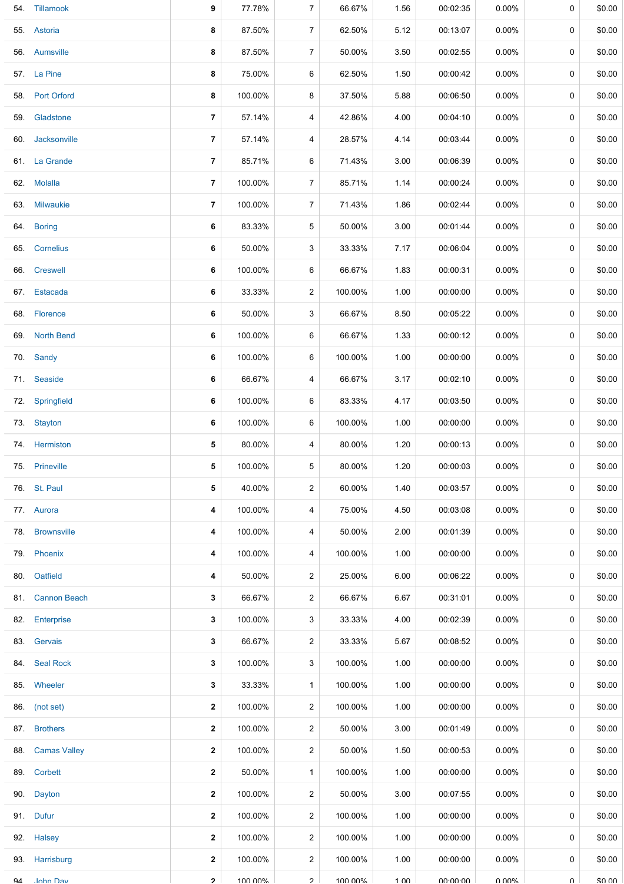|     | 54. Tillamook    | 9              | 77.78%  | 7              | 66.67%  | 1.56            | 00:02:35        | $0.00\%$ | 0 | \$0.00 |
|-----|------------------|----------------|---------|----------------|---------|-----------------|-----------------|----------|---|--------|
|     | 55. Astoria      | 8              | 87.50%  | $\overline{7}$ | 62.50%  | 5.12            | 00:13:07        | $0.00\%$ | 0 | \$0.00 |
|     | 56. Aumsville    | 8              | 87.50%  | $\overline{7}$ | 50.00%  | 3.50            | 00:02:55        | $0.00\%$ | 0 | \$0.00 |
|     | 57. La Pine      | 8              | 75.00%  | 6              | 62.50%  | 1.50            | 00:00:42        | $0.00\%$ | 0 | \$0.00 |
|     | 58. Port Orford  | 8              | 100.00% | 8              | 37.50%  | 5.88            | 00:06:50        | $0.00\%$ | 0 | \$0.00 |
| 59. | Gladstone        | 7              | 57.14%  | 4              | 42.86%  | 4.00            | 00:04:10        | $0.00\%$ | 0 | \$0.00 |
|     | 60. Jacksonville | $\overline{7}$ | 57.14%  | 4              | 28.57%  | 4.14            | 00:03:44        | $0.00\%$ | 0 | \$0.00 |
|     | 61. La Grande    | 7              | 85.71%  | 6              | 71.43%  | 3.00            | 00:06:39        | $0.00\%$ | 0 | \$0.00 |
|     | 62. Molalla      | $\overline{7}$ | 100.00% | $\overline{7}$ | 85.71%  | 1.14            | 00:00:24        | $0.00\%$ | 0 | \$0.00 |
|     | 63. Milwaukie    | 7              | 100.00% | 7              | 71.43%  | 1.86            | 00:02:44        | $0.00\%$ | 0 | \$0.00 |
|     | 64. Boring       | 6              | 83.33%  | 5              | 50.00%  | 3.00            | 00:01:44        | $0.00\%$ | 0 | \$0.00 |
|     | 65. Cornelius    | 6              | 50.00%  | 3              | 33.33%  | 7.17            | 00:06:04        | $0.00\%$ | 0 | \$0.00 |
|     | 66. Creswell     | 6              | 100.00% | 6              | 66.67%  | 1.83            | 00:00:31        | $0.00\%$ | 0 | \$0.00 |
|     | 67. Estacada     | 6              | 33.33%  | 2              | 100.00% | 1.00            | 00:00:00        | $0.00\%$ | 0 | \$0.00 |
|     | 68. Florence     | 6              | 50.00%  | 3              | 66.67%  | 8.50            | 00:05:22        | $0.00\%$ | 0 | \$0.00 |
|     | 69. North Bend   | 6              | 100.00% | 6              | 66.67%  | 1.33            | 00:00:12        | 0.00%    | 0 | \$0.00 |
|     | 70. Sandy        | 6              | 100.00% | 6              | 100.00% | 1.00            | 00:00:00        | $0.00\%$ | 0 | \$0.00 |
|     | 71. Seaside      | 6              | 66.67%  | 4              | 66.67%  | 3.17            | 00:02:10        | $0.00\%$ | 0 | \$0.00 |
|     | 72. Springfield  | 6              | 100.00% | 6              | 83.33%  | 4.17            | 00:03:50        | $0.00\%$ | 0 | \$0.00 |
|     | 73. Stayton      | 6              | 100.00% | 6              | 100.00% | 1.00            | 00:00:00        | $0.00\%$ | 0 | \$0.00 |
|     | 74. Hermiston    | 5              | 80.00%  | 4              | 80.00%  | 1.20            | 00:00:13        | $0.00\%$ | 0 | \$0.00 |
|     | 75. Prineville   | 5              | 100.00% | 5              | 80.00%  | 1.20            | 00:00:03        | 0.00%    | 0 | \$0.00 |
|     | 76. St. Paul     | 5              | 40.00%  | $\overline{c}$ | 60.00%  | 1.40            | 00:03:57        | $0.00\%$ | 0 | \$0.00 |
|     | 77. Aurora       | 4              | 100.00% | 4              | 75.00%  | 4.50            | 00:03:08        | $0.00\%$ | 0 | \$0.00 |
|     | 78. Brownsville  | 4              | 100.00% | 4              | 50.00%  | 2.00            | 00:01:39        | $0.00\%$ | 0 | \$0.00 |
|     | 79. Phoenix      | 4              | 100.00% | 4              | 100.00% | 1.00            | 00:00:00        | $0.00\%$ | 0 | \$0.00 |
|     | 80. Oatfield     | 4              | 50.00%  | 2              | 25.00%  | 6.00            | 00:06:22        | $0.00\%$ | 0 | \$0.00 |
|     | 81. Cannon Beach | 3              | 66.67%  | $\overline{2}$ | 66.67%  | 6.67            | 00:31:01        | $0.00\%$ | 0 | \$0.00 |
|     | 82. Enterprise   | 3              | 100.00% | 3              | 33.33%  | 4.00            | 00:02:39        | $0.00\%$ | 0 | \$0.00 |
|     | 83. Gervais      | 3              | 66.67%  | $\overline{c}$ | 33.33%  | 5.67            | 00:08:52        | $0.00\%$ | 0 | \$0.00 |
|     | 84. Seal Rock    | 3              | 100.00% | 3              | 100.00% | 1.00            | 00:00:00        | $0.00\%$ | 0 | \$0.00 |
|     | 85. Wheeler      | 3              | 33.33%  | $\mathbf{1}$   | 100.00% | 1.00            | 00:00:00        | $0.00\%$ | 0 | \$0.00 |
|     | 86. (not set)    | 2              | 100.00% | 2              | 100.00% | 1.00            | 00:00:00        | $0.00\%$ | 0 | \$0.00 |
|     | 87. Brothers     | $\mathbf{2}$   | 100.00% | $\overline{c}$ | 50.00%  | 3.00            | 00:01:49        | $0.00\%$ | 0 | \$0.00 |
|     | 88. Camas Valley | 2              | 100.00% | $\overline{2}$ | 50.00%  | 1.50            | 00:00:53        | $0.00\%$ | 0 | \$0.00 |
|     | 89. Corbett      | $\mathbf{2}$   | 50.00%  | $\mathbf{1}$   | 100.00% | 1.00            | 00:00:00        | $0.00\%$ | 0 | \$0.00 |
|     | 90. Dayton       | $\mathbf{2}$   | 100.00% | $\overline{2}$ | 50.00%  | 3.00            | 00:07:55        | $0.00\%$ | 0 | \$0.00 |
|     | 91. Dufur        | 2              | 100.00% | 2              | 100.00% | 1.00            | 00:00:00        | 0.00%    | 0 | \$0.00 |
|     | 92. Halsey       | 2              | 100.00% | 2              | 100.00% | 1.00            | 00:00:00        | $0.00\%$ | 0 | \$0.00 |
|     | 93. Harrisburg   | 2              | 100.00% | 2              | 100.00% | 1.00            | 00:00:00        | $0.00\%$ | 0 | \$0.00 |
| QΔ  | <b>Inhn Dav</b>  | $\mathbf{z}$   | 100 00% | $\mathcal{P}$  | 100 00% | $1 \cap \Omega$ | <b>UU-UU-UU</b> | በ በበ%    | U | ደበ በበ  |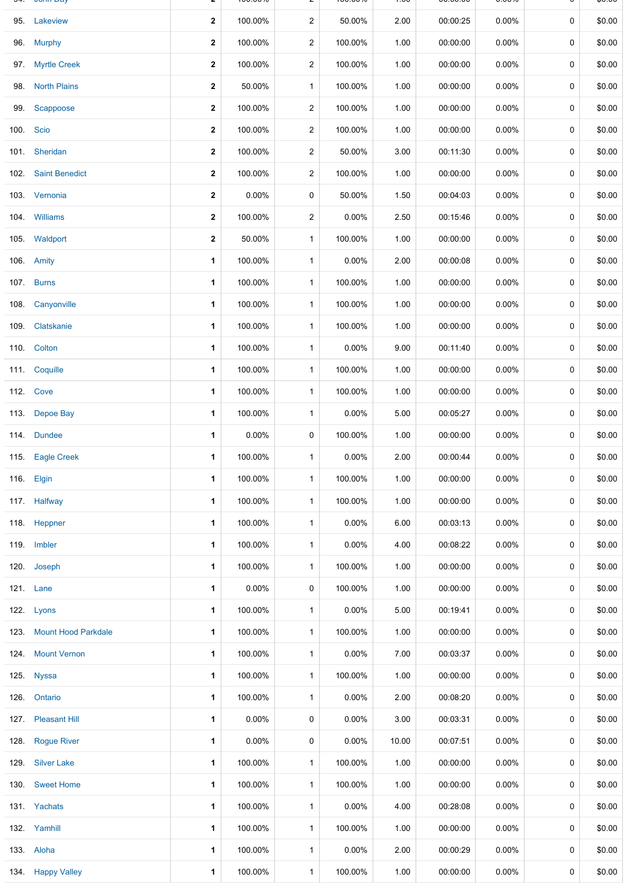|      | 95. Lakeview             | $\mathbf{2}$ | 100.00%  | $\overline{2}$ | 50.00%   | 2.00  | 00:00:25 | 0.00%    | $\mathbf 0$ | \$0.00 |
|------|--------------------------|--------------|----------|----------------|----------|-------|----------|----------|-------------|--------|
|      | 96. Murphy               | $\mathbf{2}$ | 100.00%  | $\overline{a}$ | 100.00%  | 1.00  | 00:00:00 | $0.00\%$ | 0           | \$0.00 |
|      | 97. Myrtle Creek         | $\mathbf{2}$ | 100.00%  | $\overline{2}$ | 100.00%  | 1.00  | 00:00:00 | 0.00%    | 0           | \$0.00 |
| 98.  | <b>North Plains</b>      | $\mathbf{2}$ | 50.00%   | $\mathbf{1}$   | 100.00%  | 1.00  | 00:00:00 | 0.00%    | 0           | \$0.00 |
|      | 99. Scappoose            | 2            | 100.00%  | $\overline{2}$ | 100.00%  | 1.00  | 00:00:00 | 0.00%    | 0           | \$0.00 |
|      | 100. Scio                | $\mathbf{2}$ | 100.00%  | $\overline{a}$ | 100.00%  | 1.00  | 00:00:00 | $0.00\%$ | 0           | \$0.00 |
|      | 101. Sheridan            | $\mathbf{2}$ | 100.00%  | $\overline{2}$ | 50.00%   | 3.00  | 00:11:30 | $0.00\%$ | 0           | \$0.00 |
|      | 102. Saint Benedict      | $\mathbf{2}$ | 100.00%  | $\overline{a}$ | 100.00%  | 1.00  | 00:00:00 | $0.00\%$ | 0           | \$0.00 |
|      | 103. Vernonia            | $\mathbf{2}$ | 0.00%    | 0              | 50.00%   | 1.50  | 00:04:03 | $0.00\%$ | 0           | \$0.00 |
|      | 104. Williams            | 2            | 100.00%  | $\overline{2}$ | 0.00%    | 2.50  | 00:15:46 | $0.00\%$ | 0           | \$0.00 |
|      | 105. Waldport            | $\mathbf{2}$ | 50.00%   | $\mathbf{1}$   | 100.00%  | 1.00  | 00:00:00 | 0.00%    | 0           | \$0.00 |
|      | 106. Amity               | 1            | 100.00%  | $\mathbf{1}$   | 0.00%    | 2.00  | 00:00:08 | 0.00%    | 0           | \$0.00 |
|      | 107. Burns               | 1            | 100.00%  | $\mathbf{1}$   | 100.00%  | 1.00  | 00:00:00 | 0.00%    | 0           | \$0.00 |
|      | 108. Canyonville         | 1            | 100.00%  | $\mathbf{1}$   | 100.00%  | 1.00  | 00:00:00 | $0.00\%$ | 0           | \$0.00 |
|      | 109. Clatskanie          | 1            | 100.00%  | $\mathbf{1}$   | 100.00%  | 1.00  | 00:00:00 | 0.00%    | 0           | \$0.00 |
|      | 110. Colton              | 1            | 100.00%  | $\mathbf{1}$   | 0.00%    | 9.00  | 00:11:40 | 0.00%    | 0           | \$0.00 |
|      | 111. Coquille            | 1            | 100.00%  | $\mathbf{1}$   | 100.00%  | 1.00  | 00:00:00 | 0.00%    | 0           | \$0.00 |
|      | <b>112. Cove</b>         | 1            | 100.00%  | $\mathbf{1}$   | 100.00%  | 1.00  | 00:00:00 | 0.00%    | 0           | \$0.00 |
|      | 113. Depoe Bay           | 1            | 100.00%  | $\mathbf{1}$   | $0.00\%$ | 5.00  | 00:05:27 | 0.00%    | 0           | \$0.00 |
|      | 114. Dundee              | 1.           | $0.00\%$ | 0              | 100.00%  | 1.00  | 00:00:00 | 0.00%    | 0           | \$0.00 |
|      | 115. Eagle Creek         | 1            | 100.00%  | $\mathbf{1}$   | 0.00%    | 2.00  | 00:00:44 | 0.00%    | 0           | \$0.00 |
|      | 116. Elgin               | 1.           | 100.00%  | 1              | 100.00%  | 1.00  | 00:00:00 | $0.00\%$ | 0           | \$0.00 |
|      | 117. Halfway             | 1            | 100.00%  | $\mathbf{1}$   | 100.00%  | 1.00  | 00:00:00 | $0.00\%$ | $\mathbf 0$ | \$0.00 |
|      | 118. Heppner             | 1            | 100.00%  | $\mathbf{1}$   | 0.00%    | 6.00  | 00:03:13 | $0.00\%$ | 0           | \$0.00 |
|      | 119. Imbler              | 1            | 100.00%  | $\mathbf{1}$   | $0.00\%$ | 4.00  | 00:08:22 | 0.00%    | 0           | \$0.00 |
|      | 120. Joseph              | 1            | 100.00%  | $\mathbf{1}$   | 100.00%  | 1.00  | 00:00:00 | $0.00\%$ | 0           | \$0.00 |
|      | 121. Lane                | 1            | 0.00%    | 0              | 100.00%  | 1.00  | 00:00:00 | 0.00%    | 0           | \$0.00 |
|      | 122. Lyons               | $\mathbf 1$  | 100.00%  | $\mathbf{1}$   | $0.00\%$ | 5.00  | 00:19:41 | $0.00\%$ | 0           | \$0.00 |
|      | 123. Mount Hood Parkdale | 1            | 100.00%  | $\mathbf{1}$   | 100.00%  | 1.00  | 00:00:00 | 0.00%    | 0           | \$0.00 |
|      | 124. Mount Vernon        | 1            | 100.00%  | $\mathbf{1}$   | 0.00%    | 7.00  | 00:03:37 | $0.00\%$ | 0           | \$0.00 |
|      | 125. Nyssa               | 1            | 100.00%  | $\mathbf{1}$   | 100.00%  | 1.00  | 00:00:00 | $0.00\%$ | 0           | \$0.00 |
|      | 126. Ontario             | 1            | 100.00%  | $\mathbf{1}$   | 0.00%    | 2.00  | 00:08:20 | 0.00%    | 0           | \$0.00 |
|      | 127. Pleasant Hill       | 1            | $0.00\%$ | 0              | 0.00%    | 3.00  | 00:03:31 | 0.00%    | 0           | \$0.00 |
| 128. | <b>Rogue River</b>       | 1            | $0.00\%$ | 0              | 0.00%    | 10.00 | 00:07:51 | $0.00\%$ | 0           | \$0.00 |
|      | 129. Silver Lake         | 1            | 100.00%  | $\mathbf{1}$   | 100.00%  | 1.00  | 00:00:00 | 0.00%    | 0           | \$0.00 |
|      | 130. Sweet Home          | 1            | 100.00%  | $\mathbf{1}$   | 100.00%  | 1.00  | 00:00:00 | 0.00%    | 0           | \$0.00 |
|      | 131. Yachats             | 1            | 100.00%  | 1              | $0.00\%$ | 4.00  | 00:28:08 | $0.00\%$ | 0           | \$0.00 |
|      | 132. Yamhill             | 1            | 100.00%  | $\mathbf{1}$   | 100.00%  | 1.00  | 00:00:00 | $0.00\%$ | 0           | \$0.00 |
|      | 133. Aloha               | 1            | 100.00%  | $\mathbf{1}$   | 0.00%    | 2.00  | 00:00:29 | $0.00\%$ | 0           | \$0.00 |
|      | 134. Happy Valley        | 1            | 100.00%  | $\mathbf{1}$   | 100.00%  | 1.00  | 00:00:00 | $0.00\%$ | 0           | \$0.00 |

94. John Day **2** 100.00% 2 100.00% 1.00 00:00:00 0.00% 0 \$0.00